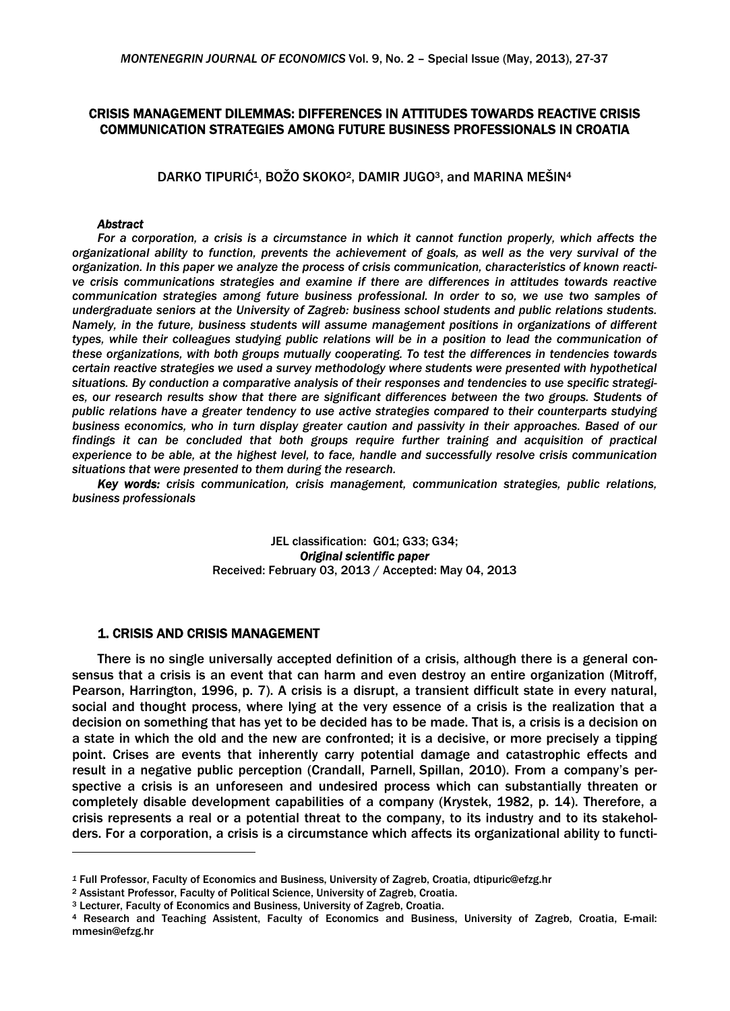# CRISIS MANAGEMENT DILEMMAS: DIFFERENCES IN ATTITUDES TOWARDS REACTIVE CRISIS COMMUNICATION STRATEGIES AMONG FUTURE BUSINESS PROFESSIONALS IN CROATIA

DARKO TIPURIĆ<sup>1</sup>, BOŽO SKOKO<sup>2</sup>, DAMIR JUGO<sup>3</sup>, and MARINA MEŠIN<sup>4</sup>

### *Abstract*

1

For a corporation, a crisis is a circumstance in which it cannot function properly, which affects the *organizational ability to function, prevents the achievement of goals, as well as the very survival of the organization. In this paper we analyze the process of crisis communication, characteristics of known reactive crisis communications strategies and examine if there are differences in attitudes towards reactive communication strategies among future business professional. In order to so, we use two samples of undergraduate seniors at the University of Zagreb: business school students and public relations students. Namely, in the future, business students will assume management positions in organizations of different types, while their colleagues studying public relations will be in a position to lead the communication of these organizations, with both groups mutually cooperating. To test the differences in tendencies towards certain reactive strategies we used a survey methodology where students were presented with hypothetical situations. By conduction a comparative analysis of their responses and tendencies to use specific strategies, our research results show that there are significant differences between the two groups. Students of public relations have a greater tendency to use active strategies compared to their counterparts studying business economics, who in turn display greater caution and passivity in their approaches. Based of our findings it can be concluded that both groups require further training and acquisition of practical experience to be able, at the highest level, to face, handle and successfully resolve crisis communication situations that were presented to them during the research.* 

*Key words: crisis communication, crisis management, communication strategies, public relations, business professionals* 

> JEL classification: G01; G33; G34; *Original scientific paper* Received: February 03, 2013 / Accepted: May 04, 2013

### 1. CRISIS AND CRISIS MANAGEMENT

There is no single universally accepted definition of a crisis, although there is a general consensus that a crisis is an event that can harm and even destroy an entire organization (Mitroff, Pearson, Harrington, 1996, p. 7). A crisis is a disrupt, a transient difficult state in every natural, social and thought process, where lying at the very essence of a crisis is the realization that a decision on something that has yet to be decided has to be made. That is, a crisis is a decision on a state in which the old and the new are confronted; it is a decisive, or more precisely a tipping point. Crises are events that inherently carry potential damage and catastrophic effects and result in a negative public perception (Crandall, Parnell, Spillan, 2010). From a company's perspective a crisis is an unforeseen and undesired process which can substantially threaten or completely disable development capabilities of a company (Krystek, 1982, p. 14). Therefore, a crisis represents a real or a potential threat to the company, to its industry and to its stakeholders. For a corporation, a crisis is a circumstance which affects its organizational ability to functi-

*<sup>1</sup>* Full Professor, Faculty of Economics and Business, University of Zagreb, Croatia, dtipuric@efzg.hr

<sup>&</sup>lt;sup>2</sup> Assistant Professor, Faculty of Political Science, University of Zagreb, Croatia.<br><sup>3</sup> Lecturer, Faculty of Economics and Business, University of Zagreb, Croatia.<br><sup>4</sup> Research and Teaching Assistent, Faculty of Economic mmesin@efzg.hr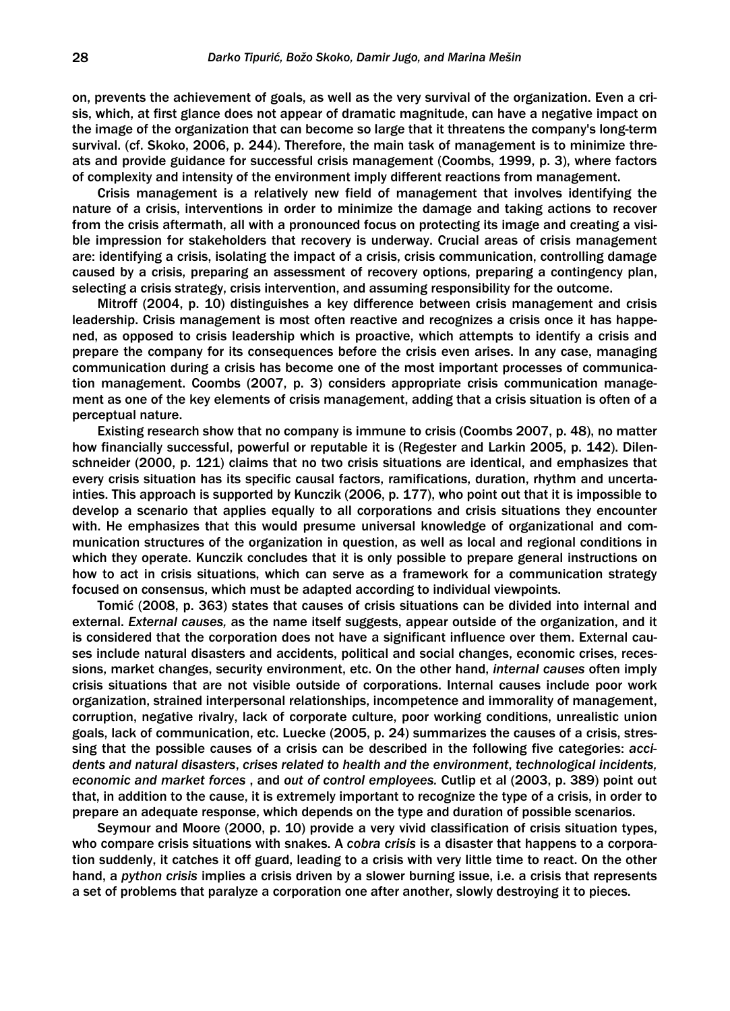on, prevents the achievement of goals, as well as the very survival of the organization. Even a crisis, which, at first glance does not appear of dramatic magnitude, can have a negative impact on the image of the organization that can become so large that it threatens the company's long-term survival. (cf. Skoko, 2006, p. 244). Therefore, the main task of management is to minimize threats and provide guidance for successful crisis management (Coombs, 1999, p. 3), where factors of complexity and intensity of the environment imply different reactions from management.

Crisis management is a relatively new field of management that involves identifying the nature of a crisis, interventions in order to minimize the damage and taking actions to recover from the crisis aftermath, all with a pronounced focus on protecting its image and creating a visible impression for stakeholders that recovery is underway. Crucial areas of crisis management are: identifying a crisis, isolating the impact of a crisis, crisis communication, controlling damage caused by a crisis, preparing an assessment of recovery options, preparing a contingency plan, selecting a crisis strategy, crisis intervention, and assuming responsibility for the outcome.

Mitroff (2004, p. 10) distinguishes a key difference between crisis management and crisis leadership. Crisis management is most often reactive and recognizes a crisis once it has happened, as opposed to crisis leadership which is proactive, which attempts to identify a crisis and prepare the company for its consequences before the crisis even arises. In any case, managing communication during a crisis has become one of the most important processes of communication management. Coombs (2007, p. 3) considers appropriate crisis communication management as one of the key elements of crisis management, adding that a crisis situation is often of a perceptual nature.

Existing research show that no company is immune to crisis (Coombs 2007, p. 48), no matter how financially successful, powerful or reputable it is (Regester and Larkin 2005, p. 142). Dilenschneider (2000, p. 121) claims that no two crisis situations are identical, and emphasizes that every crisis situation has its specific causal factors, ramifications, duration, rhythm and uncertainties. This approach is supported by Kunczik (2006, p. 177), who point out that it is impossible to develop a scenario that applies equally to all corporations and crisis situations they encounter with. He emphasizes that this would presume universal knowledge of organizational and communication structures of the organization in question, as well as local and regional conditions in which they operate. Kunczik concludes that it is only possible to prepare general instructions on how to act in crisis situations, which can serve as a framework for a communication strategy focused on consensus, which must be adapted according to individual viewpoints.

Tomić (2008, p. 363) states that causes of crisis situations can be divided into internal and external. *External causes,* as the name itself suggests, appear outside of the organization, and it is considered that the corporation does not have a significant influence over them. External causes include natural disasters and accidents, political and social changes, economic crises, recessions, market changes, security environment, etc. On the other hand, *internal causes* often imply crisis situations that are not visible outside of corporations. Internal causes include poor work organization, strained interpersonal relationships, incompetence and immorality of management, corruption, negative rivalry, lack of corporate culture, poor working conditions, unrealistic union goals, lack of communication, etc. Luecke (2005, p. 24) summarizes the causes of a crisis, stressing that the possible causes of a crisis can be described in the following five categories: *accidents and natural disasters*, *crises related to health and the environment*, *technological incidents, economic and market forces* , and *out of control employees.* Cutlip et al (2003, p. 389) point out that, in addition to the cause, it is extremely important to recognize the type of a crisis, in order to prepare an adequate response, which depends on the type and duration of possible scenarios.

Seymour and Moore (2000, p. 10) provide a very vivid classification of crisis situation types, who compare crisis situations with snakes. A *cobra crisis* is a disaster that happens to a corporation suddenly, it catches it off guard, leading to a crisis with very little time to react. On the other hand, a *python crisis* implies a crisis driven by a slower burning issue, i.e. a crisis that represents a set of problems that paralyze a corporation one after another, slowly destroying it to pieces.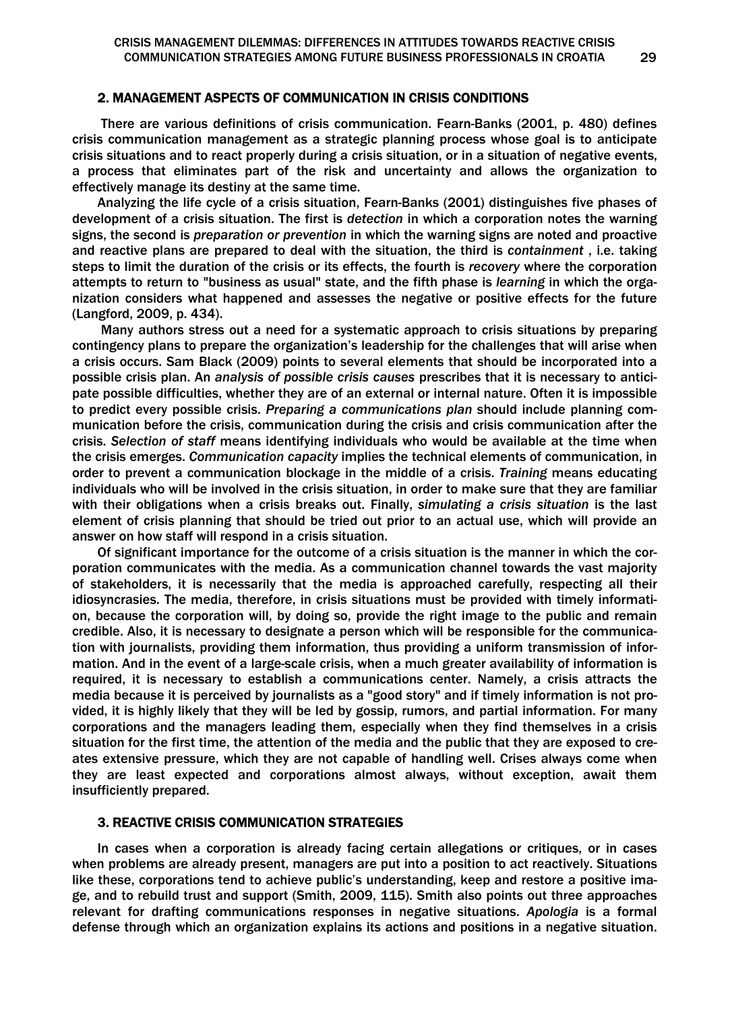#### 2. MANAGEMENT ASPECTS OF COMMUNICATION IN CRISIS CONDITIONS

 There are various definitions of crisis communication. Fearn-Banks (2001, p. 480) defines crisis communication management as a strategic planning process whose goal is to anticipate crisis situations and to react properly during a crisis situation, or in a situation of negative events, a process that eliminates part of the risk and uncertainty and allows the organization to effectively manage its destiny at the same time.

Analyzing the life cycle of a crisis situation, Fearn-Banks (2001) distinguishes five phases of development of a crisis situation. The first is *detection* in which a corporation notes the warning signs, the second is *preparation or prevention* in which the warning signs are noted and proactive and reactive plans are prepared to deal with the situation, the third is *containment* , i.e. taking steps to limit the duration of the crisis or its effects, the fourth is *recovery* where the corporation attempts to return to "business as usual" state, and the fifth phase is *learning* in which the organization considers what happened and assesses the negative or positive effects for the future (Langford, 2009, p. 434).

 Many authors stress out a need for a systematic approach to crisis situations by preparing contingency plans to prepare the organization's leadership for the challenges that will arise when a crisis occurs. Sam Black (2009) points to several elements that should be incorporated into a possible crisis plan. An *analysis of possible crisis causes* prescribes that it is necessary to anticipate possible difficulties, whether they are of an external or internal nature. Often it is impossible to predict every possible crisis. *Preparing a communications plan* should include planning communication before the crisis, communication during the crisis and crisis communication after the crisis. *Selection of staff* means identifying individuals who would be available at the time when the crisis emerges. *Communication capacity* implies the technical elements of communication, in order to prevent a communication blockage in the middle of a crisis. *Training* means educating individuals who will be involved in the crisis situation, in order to make sure that they are familiar with their obligations when a crisis breaks out. Finally, *simulating a crisis situation* is the last element of crisis planning that should be tried out prior to an actual use, which will provide an answer on how staff will respond in a crisis situation.

Of significant importance for the outcome of a crisis situation is the manner in which the corporation communicates with the media. As a communication channel towards the vast majority of stakeholders, it is necessarily that the media is approached carefully, respecting all their idiosyncrasies. The media, therefore, in crisis situations must be provided with timely information, because the corporation will, by doing so, provide the right image to the public and remain credible. Also, it is necessary to designate a person which will be responsible for the communication with journalists, providing them information, thus providing a uniform transmission of information. And in the event of a large-scale crisis, when a much greater availability of information is required, it is necessary to establish a communications center. Namely, a crisis attracts the media because it is perceived by journalists as a "good story" and if timely information is not provided, it is highly likely that they will be led by gossip, rumors, and partial information. For many corporations and the managers leading them, especially when they find themselves in a crisis situation for the first time, the attention of the media and the public that they are exposed to creates extensive pressure, which they are not capable of handling well. Crises always come when they are least expected and corporations almost always, without exception, await them insufficiently prepared.

### 3. REACTIVE CRISIS COMMUNICATION STRATEGIES

In cases when a corporation is already facing certain allegations or critiques, or in cases when problems are already present, managers are put into a position to act reactively. Situations like these, corporations tend to achieve public's understanding, keep and restore a positive image, and to rebuild trust and support (Smith, 2009, 115). Smith also points out three approaches relevant for drafting communications responses in negative situations. *Apologia* is a formal defense through which an organization explains its actions and positions in a negative situation.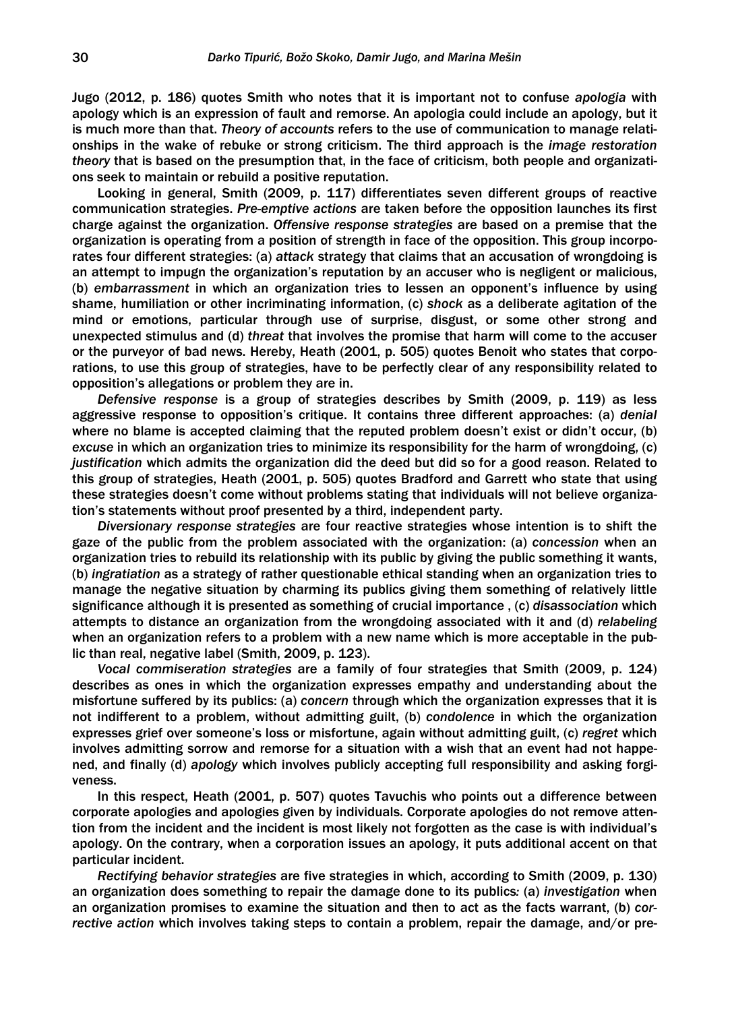Jugo (2012, p. 186) quotes Smith who notes that it is important not to confuse *apologia* with apology which is an expression of fault and remorse. An apologia could include an apology, but it is much more than that. *Theory of accounts* refers to the use of communication to manage relationships in the wake of rebuke or strong criticism. The third approach is the *image restoration theory* that is based on the presumption that, in the face of criticism, both people and organizations seek to maintain or rebuild a positive reputation.

Looking in general, Smith (2009, p. 117) differentiates seven different groups of reactive communication strategies. *Pre-emptive actions* are taken before the opposition launches its first charge against the organization. *Offensive response strategies* are based on a premise that the organization is operating from a position of strength in face of the opposition. This group incorporates four different strategies: (a) *attack* strategy that claims that an accusation of wrongdoing is an attempt to impugn the organization's reputation by an accuser who is negligent or malicious, (b) *embarrassment* in which an organization tries to lessen an opponent's influence by using shame, humiliation or other incriminating information, (c) *shock* as a deliberate agitation of the mind or emotions, particular through use of surprise, disgust, or some other strong and unexpected stimulus and (d) *threat* that involves the promise that harm will come to the accuser or the purveyor of bad news. Hereby, Heath (2001, p. 505) quotes Benoit who states that corporations, to use this group of strategies, have to be perfectly clear of any responsibility related to opposition's allegations or problem they are in.

*Defensive response* is a group of strategies describes by Smith (2009, p. 119) as less aggressive response to opposition's critique. It contains three different approaches: (a) *denial*  where no blame is accepted claiming that the reputed problem doesn't exist or didn't occur, (b) *excuse* in which an organization tries to minimize its responsibility for the harm of wrongdoing, (c) *justification* which admits the organization did the deed but did so for a good reason. Related to this group of strategies, Heath (2001, p. 505) quotes Bradford and Garrett who state that using these strategies doesn't come without problems stating that individuals will not believe organization's statements without proof presented by a third, independent party.

*Diversionary response strategies* are four reactive strategies whose intention is to shift the gaze of the public from the problem associated with the organization: (a) *concession* when an organization tries to rebuild its relationship with its public by giving the public something it wants, (b) *ingratiation* as a strategy of rather questionable ethical standing when an organization tries to manage the negative situation by charming its publics giving them something of relatively little significance although it is presented as something of crucial importance , (c) *disassociation* which attempts to distance an organization from the wrongdoing associated with it and (d) *relabeling*  when an organization refers to a problem with a new name which is more acceptable in the public than real, negative label (Smith, 2009, p. 123).

*Vocal commiseration strategies* are a family of four strategies that Smith (2009, p. 124) describes as ones in which the organization expresses empathy and understanding about the misfortune suffered by its publics: (a) *concern* through which the organization expresses that it is not indifferent to a problem, without admitting guilt, (b) *condolence* in which the organization expresses grief over someone's loss or misfortune, again without admitting guilt, (c) *regret* which involves admitting sorrow and remorse for a situation with a wish that an event had not happened, and finally (d) *apology* which involves publicly accepting full responsibility and asking forgiveness.

In this respect, Heath (2001, p. 507) quotes Tavuchis who points out a difference between corporate apologies and apologies given by individuals. Corporate apologies do not remove attention from the incident and the incident is most likely not forgotten as the case is with individual's apology. On the contrary, when a corporation issues an apology, it puts additional accent on that particular incident.

*Rectifying behavior strategies* are five strategies in which, according to Smith (2009, p. 130) an organization does something to repair the damage done to its publics*:* (a) *investigation* when an organization promises to examine the situation and then to act as the facts warrant, (b) *corrective action* which involves taking steps to contain a problem, repair the damage, and/or pre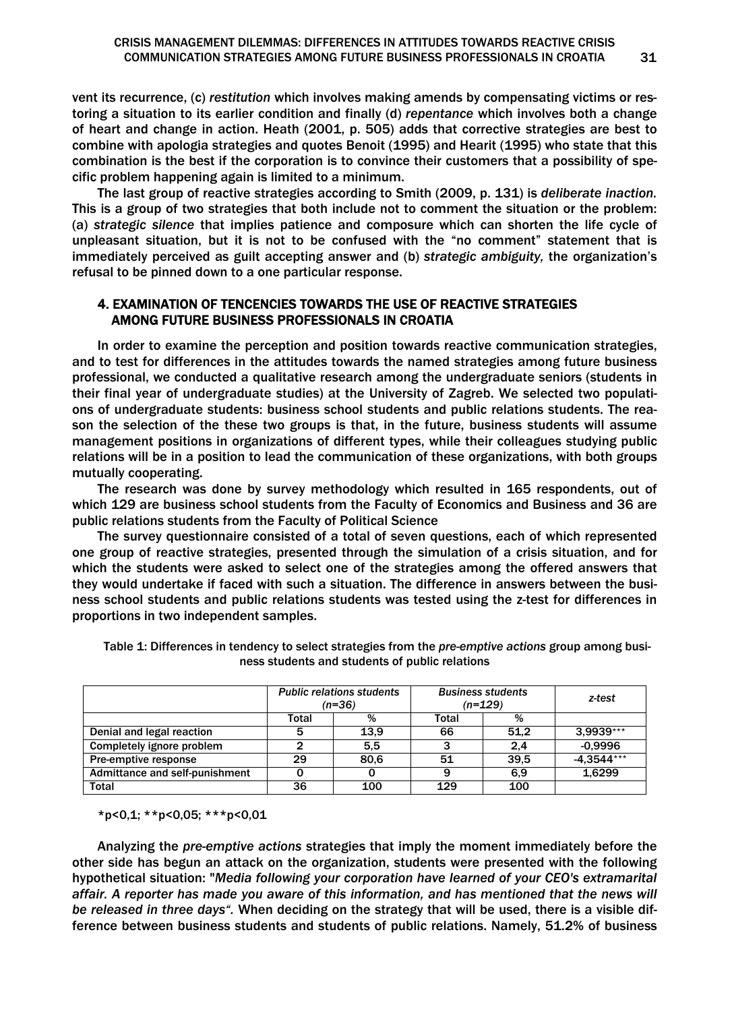vent its recurrence, (c) *restitution* which involves making amends by compensating victims or restoring a situation to its earlier condition and finally (d) *repentance* which involves both a change of heart and change in action. Heath (2001, p. 505) adds that corrective strategies are best to combine with apologia strategies and quotes Benoit (1995) and Hearit (1995) who state that this combination is the best if the corporation is to convince their customers that a possibility of specific problem happening again is limited to a minimum.

The last group of reactive strategies according to Smith (2009, p. 131) is *deliberate inaction.*  This is a group of two strategies that both include not to comment the situation or the problem: (a) *strategic silence* that implies patience and composure which can shorten the life cycle of unpleasant situation, but it is not to be confused with the "no comment" statement that is immediately perceived as guilt accepting answer and (b) *strategic ambiguity,* the organization's refusal to be pinned down to a one particular response.

## 4. EXAMINATION OF TENCENCIES TOWARDS THE USE OF REACTIVE STRATEGIES AMONG FUTURE BUSINESS PROFESSIONALS IN CROATIA

In order to examine the perception and position towards reactive communication strategies, and to test for differences in the attitudes towards the named strategies among future business professional, we conducted a qualitative research among the undergraduate seniors (students in their final year of undergraduate studies) at the University of Zagreb. We selected two populations of undergraduate students: business school students and public relations students. The reason the selection of the these two groups is that, in the future, business students will assume management positions in organizations of different types, while their colleagues studying public relations will be in a position to lead the communication of these organizations, with both groups mutually cooperating.

The research was done by survey methodology which resulted in 165 respondents, out of which 129 are business school students from the Faculty of Economics and Business and 36 are public relations students from the Faculty of Political Science

The survey questionnaire consisted of a total of seven questions, each of which represented one group of reactive strategies, presented through the simulation of a crisis situation, and for which the students were asked to select one of the strategies among the offered answers that they would undertake if faced with such a situation. The difference in answers between the business school students and public relations students was tested using the z-test for differences in proportions in two independent samples.

|                                | <b>Public relations students</b><br>$(n=36)$ |      | <b>Business students</b><br>$(n=129)$ |      | z-test     |
|--------------------------------|----------------------------------------------|------|---------------------------------------|------|------------|
|                                | Total                                        | %    | Total                                 | %    |            |
| Denial and legal reaction      | 5                                            | 13.9 | 66                                    | 51.2 | 3.9939***  |
| Completely ignore problem      |                                              | 5.5  |                                       | 2.4  | $-0.9996$  |
| Pre-emptive response           | 29                                           | 80.6 | 51                                    | 39.5 | -4.3544*** |
| Admittance and self-punishment |                                              |      | 9                                     | 6.9  | 1.6299     |
| <b>Total</b>                   | 36                                           | 100  | 129                                   | 100  |            |

Table 1: Differences in tendency to select strategies from the *pre-emptive actions* group among business students and students of public relations

\*p<0,1; \*\*p<0,05; \*\*\*p<0,01

Analyzing the *pre-emptive actions* strategies that imply the moment immediately before the other side has begun an attack on the organization, students were presented with the following hypothetical situation: "*Media following your corporation have learned of your CEO's extramarital affair. A reporter has made you aware of this information, and has mentioned that the news will be released in three days".* When deciding on the strategy that will be used, there is a visible difference between business students and students of public relations. Namely, 51.2% of business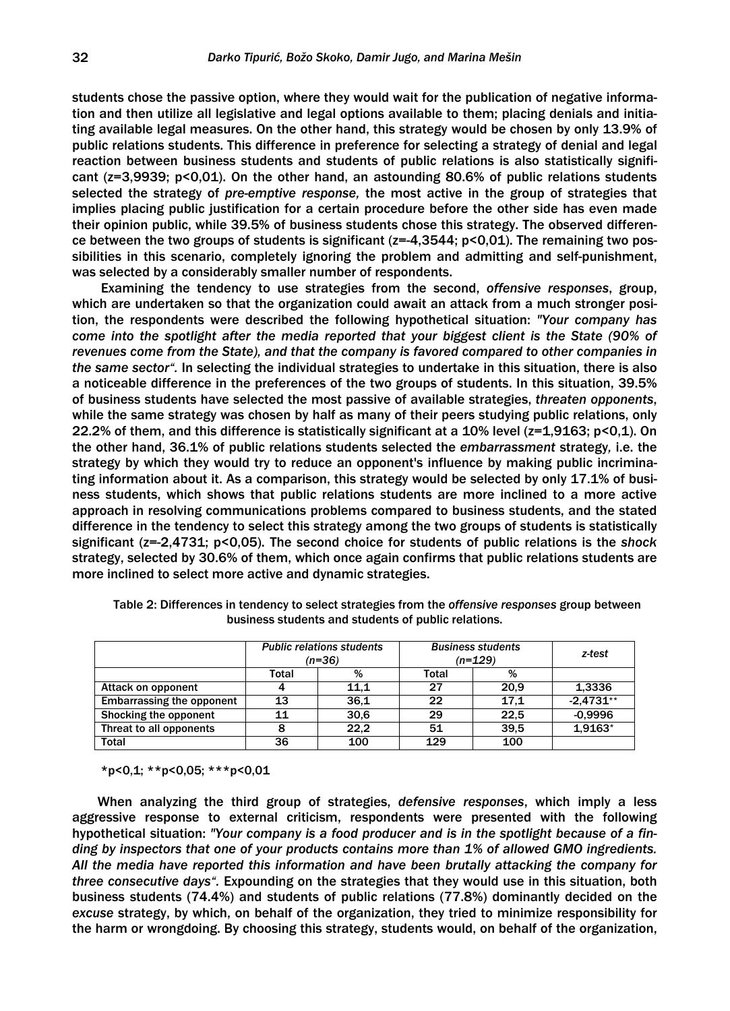students chose the passive option, where they would wait for the publication of negative information and then utilize all legislative and legal options available to them; placing denials and initiating available legal measures. On the other hand, this strategy would be chosen by only 13.9% of public relations students. This difference in preference for selecting a strategy of denial and legal reaction between business students and students of public relations is also statistically significant (z=3,9939; p<0,01). On the other hand, an astounding 80.6% of public relations students selected the strategy of *pre-emptive response,* the most active in the group of strategies that implies placing public justification for a certain procedure before the other side has even made their opinion public, while 39.5% of business students chose this strategy. The observed difference between the two groups of students is significant ( $z=-4,3544$ ;  $p<0,01$ ). The remaining two possibilities in this scenario, completely ignoring the problem and admitting and self-punishment, was selected by a considerably smaller number of respondents.

 Examining the tendency to use strategies from the second, *offensive responses*, group, which are undertaken so that the organization could await an attack from a much stronger position, the respondents were described the following hypothetical situation: *"Your company has come into the spotlight after the media reported that your biggest client is the State (90% of revenues come from the State), and that the company is favored compared to other companies in the same sector".* In selecting the individual strategies to undertake in this situation, there is also a noticeable difference in the preferences of the two groups of students. In this situation, 39.5% of business students have selected the most passive of available strategies, *threaten opponents*, while the same strategy was chosen by half as many of their peers studying public relations, only 22.2% of them, and this difference is statistically significant at a 10% level (z=1,9163; p<0,1). On the other hand, 36.1% of public relations students selected the *embarrassment* strategy*,* i.e. the strategy by which they would try to reduce an opponent's influence by making public incriminating information about it. As a comparison, this strategy would be selected by only 17.1% of business students, which shows that public relations students are more inclined to a more active approach in resolving communications problems compared to business students, and the stated difference in the tendency to select this strategy among the two groups of students is statistically significant (z=-2,4731; p<0,05). The second choice for students of public relations is the *shock* strategy, selected by 30.6% of them, which once again confirms that public relations students are more inclined to select more active and dynamic strategies.

|                                  | <b>Public relations students</b><br>$(n=36)$ |      | <b>Business students</b><br>$(n=129)$ |      | z-test      |
|----------------------------------|----------------------------------------------|------|---------------------------------------|------|-------------|
|                                  | Total                                        | %    | Total                                 | %    |             |
| Attack on opponent               |                                              | 11.1 | 27                                    | 20.9 | 1,3336      |
| <b>Embarrassing the opponent</b> | 13                                           | 36.1 | 22                                    | 17.1 | $-2.4731**$ |
| Shocking the opponent            | 11                                           | 30.6 | 29                                    | 22.5 | $-0.9996$   |
| Threat to all opponents          | 8                                            | 22.2 | 51                                    | 39.5 | $1.9163*$   |
| <b>Total</b>                     | 36                                           | 100  | 129                                   | 100  |             |

Table 2: Differences in tendency to select strategies from the *offensive responses* group between business students and students of public relations.

\*p<0,1; \*\*p<0,05; \*\*\*p<0,01

When analyzing the third group of strategies, *defensive responses*, which imply a less aggressive response to external criticism, respondents were presented with the following hypothetical situation: *"Your company is a food producer and is in the spotlight because of a finding by inspectors that one of your products contains more than 1% of allowed GMO ingredients. All the media have reported this information and have been brutally attacking the company for three consecutive days".* Expounding on the strategies that they would use in this situation, both business students (74.4%) and students of public relations (77.8%) dominantly decided on the *excuse* strategy, by which, on behalf of the organization, they tried to minimize responsibility for the harm or wrongdoing. By choosing this strategy, students would, on behalf of the organization,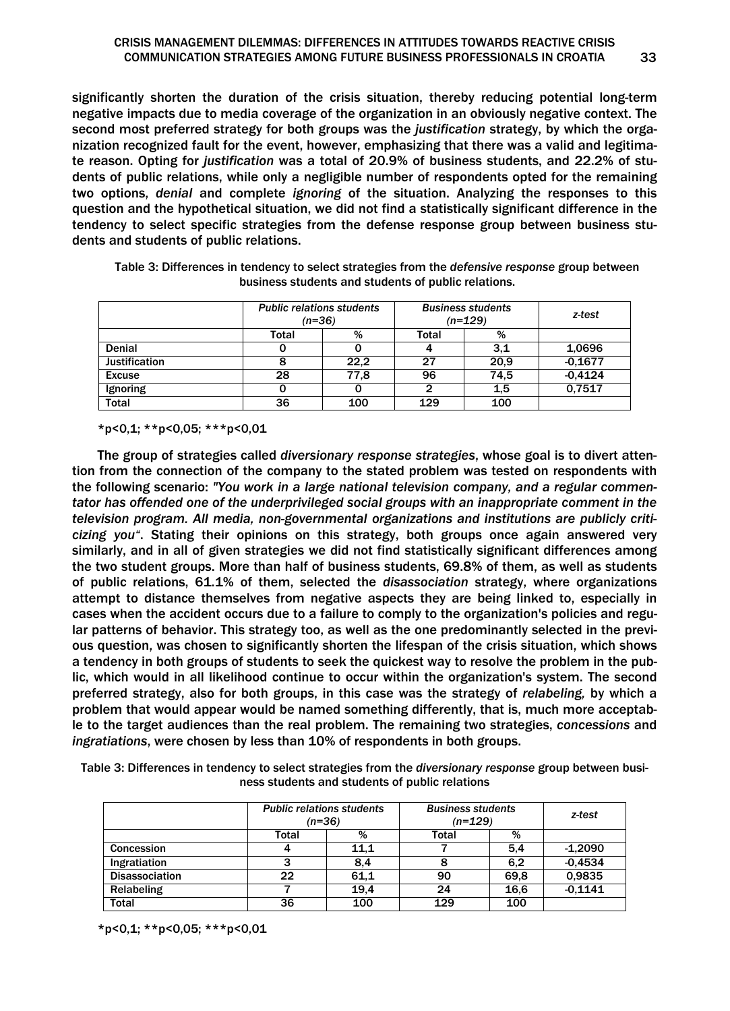significantly shorten the duration of the crisis situation, thereby reducing potential long-term negative impacts due to media coverage of the organization in an obviously negative context. The second most preferred strategy for both groups was the *justification* strategy, by which the organization recognized fault for the event, however, emphasizing that there was a valid and legitimate reason. Opting for *justification* was a total of 20.9% of business students, and 22.2% of students of public relations, while only a negligible number of respondents opted for the remaining two options, *denial* and complete *ignoring* of the situation. Analyzing the responses to this question and the hypothetical situation, we did not find a statistically significant difference in the tendency to select specific strategies from the defense response group between business students and students of public relations.

|                      | <b>Public relations students</b><br>$(n=36)$ |      | <b>Business students</b><br>$(n=129)$ |      | z-test    |
|----------------------|----------------------------------------------|------|---------------------------------------|------|-----------|
|                      | Total                                        | %    | Total                                 | %    |           |
| <b>Denial</b>        |                                              |      |                                       | 3,1  | 1,0696    |
| <b>Justification</b> |                                              | 22.2 | 27                                    | 20.9 | $-0.1677$ |
| <b>Excuse</b>        | 28                                           | 77.8 | 96                                    | 74.5 | $-0.4124$ |
| Ignoring             |                                              |      | 2                                     | 1.5  | 0.7517    |
| <b>Total</b>         | 36                                           | 100  | 129                                   | 100  |           |

Table 3: Differences in tendency to select strategies from the *defensive response* group between business students and students of public relations.

\*p<0,1; \*\*p<0,05; \*\*\*p<0,01

Ī

The group of strategies called *diversionary response strategies*, whose goal is to divert attention from the connection of the company to the stated problem was tested on respondents with the following scenario: *"You work in a large national television company, and a regular commentator has offended one of the underprivileged social groups with an inappropriate comment in the television program. All media, non-governmental organizations and institutions are publicly criticizing you"*. Stating their opinions on this strategy, both groups once again answered very similarly, and in all of given strategies we did not find statistically significant differences among the two student groups. More than half of business students, 69.8% of them, as well as students of public relations, 61.1% of them, selected the *disassociation* strategy, where organizations attempt to distance themselves from negative aspects they are being linked to, especially in cases when the accident occurs due to a failure to comply to the organization's policies and regular patterns of behavior. This strategy too, as well as the one predominantly selected in the previous question, was chosen to significantly shorten the lifespan of the crisis situation, which shows a tendency in both groups of students to seek the quickest way to resolve the problem in the public, which would in all likelihood continue to occur within the organization's system. The second preferred strategy, also for both groups, in this case was the strategy of *relabeling,* by which a problem that would appear would be named something differently, that is, much more acceptable to the target audiences than the real problem. The remaining two strategies, *concessions* and *ingratiations*, were chosen by less than 10% of respondents in both groups.

Table 3: Differences in tendency to select strategies from the *diversionary response* group between business students and students of public relations

|                       | <b>Public relations students</b><br>(n=36) |      | <b>Business students</b><br>$(n=129)$ |      | z-test    |
|-----------------------|--------------------------------------------|------|---------------------------------------|------|-----------|
|                       | Total                                      | %    | Total                                 | %    |           |
| <b>Concession</b>     |                                            | 11.1 |                                       | 5.4  | $-1,2090$ |
| Ingratiation          |                                            | 8.4  | 8                                     | 6.2  | $-0.4534$ |
| <b>Disassociation</b> | 22                                         | 61.1 | 90                                    | 69.8 | 0,9835    |
| Relabeling            |                                            | 19.4 | 24                                    | 16.6 | $-0.1141$ |
| <b>Total</b>          | 36                                         | 100  | 129                                   | 100  |           |

 $*p<0,1;$   $**p<0,05;$   $***p<0,01$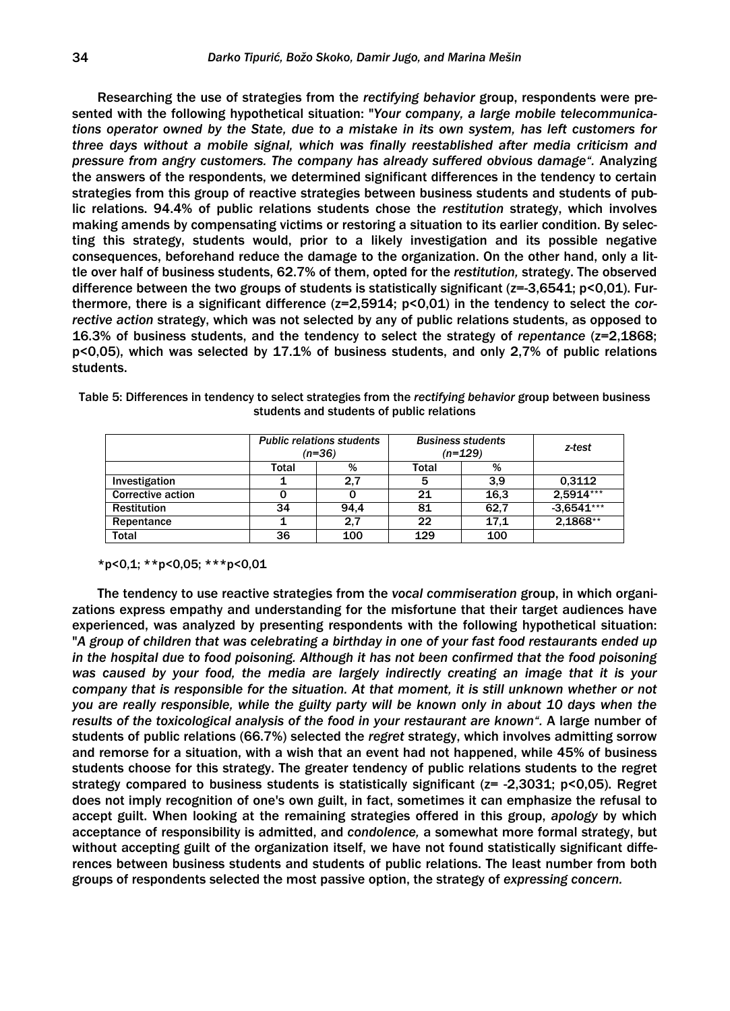Researching the use of strategies from the *rectifying behavior* group, respondents were presented with the following hypothetical situation: "*Your company, a large mobile telecommunications operator owned by the State, due to a mistake in its own system, has left customers for three days without a mobile signal, which was finally reestablished after media criticism and pressure from angry customers. The company has already suffered obvious damage".* Analyzing the answers of the respondents, we determined significant differences in the tendency to certain strategies from this group of reactive strategies between business students and students of public relations. 94.4% of public relations students chose the *restitution* strategy, which involves making amends by compensating victims or restoring a situation to its earlier condition. By selecting this strategy, students would, prior to a likely investigation and its possible negative consequences, beforehand reduce the damage to the organization. On the other hand, only a little over half of business students, 62.7% of them, opted for the *restitution,* strategy. The observed difference between the two groups of students is statistically significant ( $z=-3,6541$ ;  $p<0,01$ ). Furthermore, there is a significant difference (z=2,5914; p<0,01) in the tendency to select the *corrective action* strategy, which was not selected by any of public relations students, as opposed to 16.3% of business students, and the tendency to select the strategy of *repentance* (z=2,1868; p<0,05), which was selected by 17.1% of business students, and only 2,7% of public relations students.

|                          |       | <b>Public relations students</b><br>$(n=36)$ |       | <b>Business students</b><br>$(n=129)$ |              |
|--------------------------|-------|----------------------------------------------|-------|---------------------------------------|--------------|
|                          | Total | %                                            | Total | %                                     |              |
| Investigation            |       | 2.7                                          | 5     | 3.9                                   | 0.3112       |
| <b>Corrective action</b> |       |                                              | 21    | 16.3                                  | $2.5914***$  |
| <b>Restitution</b>       | 34    | 94.4                                         | 81    | 62.7                                  | $-3.6541***$ |
| Repentance               |       | 2.7                                          | 22    | 17.1                                  | 2.1868**     |

Total 36 100 129 100

Table 5: Differences in tendency to select strategies from the *rectifying behavior* group between business students and students of public relations

\*p<0,1; \*\*p<0,05; \*\*\*p<0,01

The tendency to use reactive strategies from the *vocal commiseration* group, in which organizations express empathy and understanding for the misfortune that their target audiences have experienced, was analyzed by presenting respondents with the following hypothetical situation: "*A group of children that was celebrating a birthday in one of your fast food restaurants ended up in the hospital due to food poisoning. Although it has not been confirmed that the food poisoning was caused by your food, the media are largely indirectly creating an image that it is your company that is responsible for the situation. At that moment, it is still unknown whether or not you are really responsible, while the guilty party will be known only in about 10 days when the results of the toxicological analysis of the food in your restaurant are known".* A large number of students of public relations (66.7%) selected the *regret* strategy, which involves admitting sorrow and remorse for a situation, with a wish that an event had not happened, while 45% of business students choose for this strategy. The greater tendency of public relations students to the regret strategy compared to business students is statistically significant (z= -2,3031; p<0,05). Regret does not imply recognition of one's own guilt, in fact, sometimes it can emphasize the refusal to accept guilt. When looking at the remaining strategies offered in this group, *apology* by which acceptance of responsibility is admitted, and *condolence,* a somewhat more formal strategy, but without accepting guilt of the organization itself, we have not found statistically significant differences between business students and students of public relations. The least number from both groups of respondents selected the most passive option, the strategy of *expressing concern.*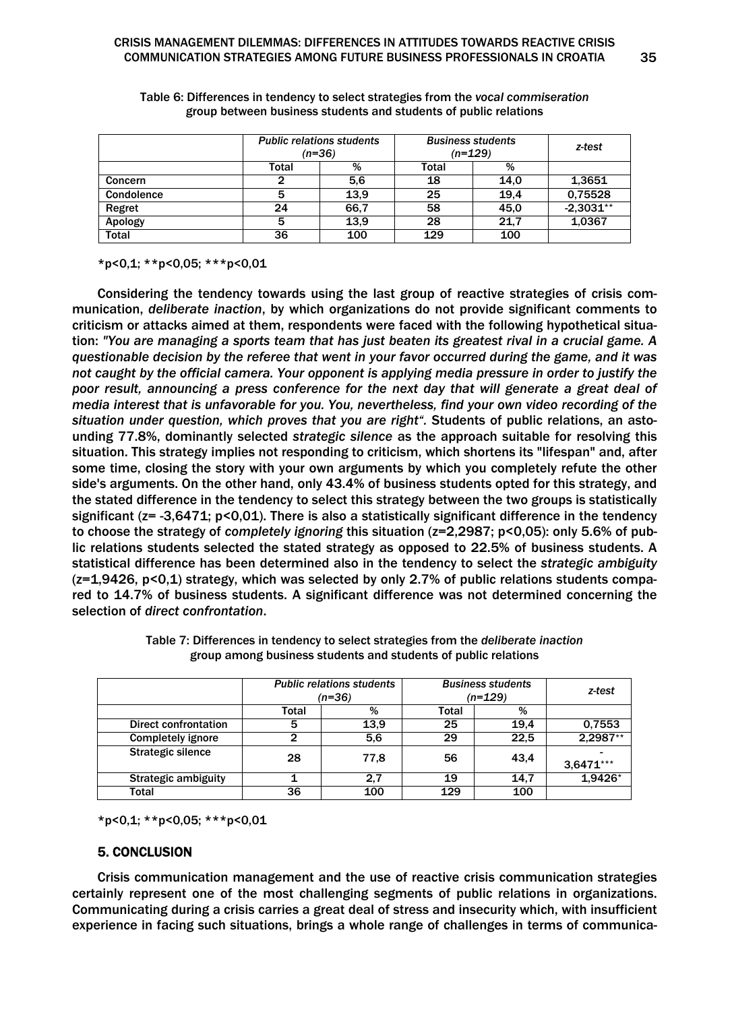|              | <b>Public relations students</b><br>$(n=36)$ |      | <b>Business students</b><br>$(n=129)$ |      | z-test      |
|--------------|----------------------------------------------|------|---------------------------------------|------|-------------|
|              | Total                                        | %    | Total                                 | %    |             |
| Concern      |                                              | 5,6  | 18                                    | 14.0 | 1.3651      |
| Condolence   | 5                                            | 13.9 | 25                                    | 19.4 | 0,75528     |
| Regret       | 24                                           | 66.7 | 58                                    | 45.0 | $-2,3031**$ |
| Apology      | 5                                            | 13,9 | 28                                    | 21.7 | 1,0367      |
| <b>Total</b> | 36                                           | 100  | 129                                   | 100  |             |

Table 6: Differences in tendency to select strategies from the *vocal commiseration* group between business students and students of public relations

\*p<0,1; \*\*p<0,05; \*\*\*p<0,01

Considering the tendency towards using the last group of reactive strategies of crisis communication, *deliberate inaction*, by which organizations do not provide significant comments to criticism or attacks aimed at them, respondents were faced with the following hypothetical situation: *"You are managing a sports team that has just beaten its greatest rival in a crucial game. A questionable decision by the referee that went in your favor occurred during the game, and it was not caught by the official camera. Your opponent is applying media pressure in order to justify the poor result, announcing a press conference for the next day that will generate a great deal of media interest that is unfavorable for you. You, nevertheless, find your own video recording of the situation under question, which proves that you are right".* Students of public relations, an astounding 77.8%, dominantly selected *strategic silence* as the approach suitable for resolving this situation. This strategy implies not responding to criticism, which shortens its "lifespan" and, after some time, closing the story with your own arguments by which you completely refute the other side's arguments. On the other hand, only 43.4% of business students opted for this strategy, and the stated difference in the tendency to select this strategy between the two groups is statistically significant ( $z = -3,6471$ ;  $p < 0,01$ ). There is also a statistically significant difference in the tendency to choose the strategy of *completely ignoring* this situation (z=2,2987; p<0,05): only 5.6% of public relations students selected the stated strategy as opposed to 22.5% of business students. A statistical difference has been determined also in the tendency to select the *strategic ambiguity* (z=1,9426, p<0,1) strategy, which was selected by only 2.7% of public relations students compared to 14.7% of business students. A significant difference was not determined concerning the selection of *direct confrontation*.

|                            | <b>Public relations students</b><br>$(n=36)$ |      | <b>Business students</b><br>$(n=129)$ |      | z-test      |
|----------------------------|----------------------------------------------|------|---------------------------------------|------|-------------|
|                            | Total                                        | %    | Total                                 | %    |             |
| Direct confrontation       | 5                                            | 13.9 | 25                                    | 19.4 | 0.7553      |
| <b>Completely ignore</b>   | כי                                           | 5,6  | 29                                    | 22.5 | 2,2987**    |
| Strategic silence          | 28                                           | 77.8 | 56                                    | 43,4 | $3.6471***$ |
| <b>Strategic ambiguity</b> |                                              | 2.7  | 19                                    | 14.7 | 1,9426*     |
| Total                      | 36                                           | 100  | 129                                   | 100  |             |

Table 7: Differences in tendency to select strategies from the *deliberate inaction* group among business students and students of public relations

\*p<0,1; \*\*p<0,05; \*\*\*p<0,01

# 5. CONCLUSION

Crisis communication management and the use of reactive crisis communication strategies certainly represent one of the most challenging segments of public relations in organizations. Communicating during a crisis carries a great deal of stress and insecurity which, with insufficient experience in facing such situations, brings a whole range of challenges in terms of communica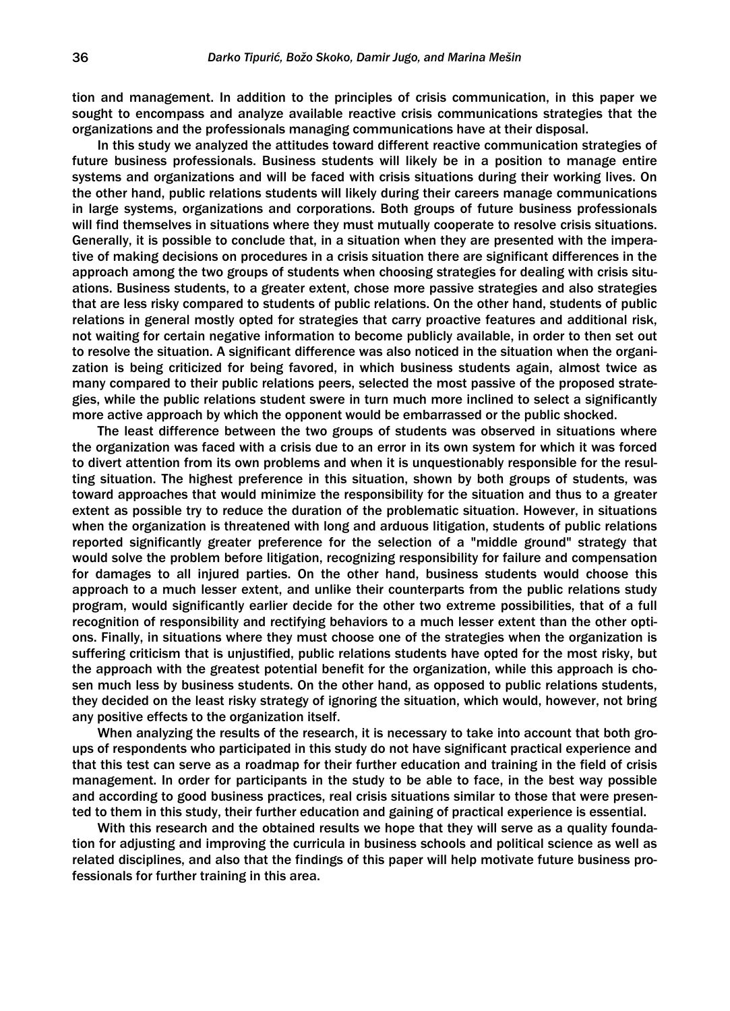tion and management. In addition to the principles of crisis communication, in this paper we sought to encompass and analyze available reactive crisis communications strategies that the organizations and the professionals managing communications have at their disposal.

In this study we analyzed the attitudes toward different reactive communication strategies of future business professionals. Business students will likely be in a position to manage entire systems and organizations and will be faced with crisis situations during their working lives. On the other hand, public relations students will likely during their careers manage communications in large systems, organizations and corporations. Both groups of future business professionals will find themselves in situations where they must mutually cooperate to resolve crisis situations. Generally, it is possible to conclude that, in a situation when they are presented with the imperative of making decisions on procedures in a crisis situation there are significant differences in the approach among the two groups of students when choosing strategies for dealing with crisis situations. Business students, to a greater extent, chose more passive strategies and also strategies that are less risky compared to students of public relations. On the other hand, students of public relations in general mostly opted for strategies that carry proactive features and additional risk, not waiting for certain negative information to become publicly available, in order to then set out to resolve the situation. A significant difference was also noticed in the situation when the organization is being criticized for being favored, in which business students again, almost twice as many compared to their public relations peers, selected the most passive of the proposed strategies, while the public relations student swere in turn much more inclined to select a significantly more active approach by which the opponent would be embarrassed or the public shocked.

The least difference between the two groups of students was observed in situations where the organization was faced with a crisis due to an error in its own system for which it was forced to divert attention from its own problems and when it is unquestionably responsible for the resulting situation. The highest preference in this situation, shown by both groups of students, was toward approaches that would minimize the responsibility for the situation and thus to a greater extent as possible try to reduce the duration of the problematic situation. However, in situations when the organization is threatened with long and arduous litigation, students of public relations reported significantly greater preference for the selection of a "middle ground" strategy that would solve the problem before litigation, recognizing responsibility for failure and compensation for damages to all injured parties. On the other hand, business students would choose this approach to a much lesser extent, and unlike their counterparts from the public relations study program, would significantly earlier decide for the other two extreme possibilities, that of a full recognition of responsibility and rectifying behaviors to a much lesser extent than the other options. Finally, in situations where they must choose one of the strategies when the organization is suffering criticism that is unjustified, public relations students have opted for the most risky, but the approach with the greatest potential benefit for the organization, while this approach is chosen much less by business students. On the other hand, as opposed to public relations students, they decided on the least risky strategy of ignoring the situation, which would, however, not bring any positive effects to the organization itself.

When analyzing the results of the research, it is necessary to take into account that both groups of respondents who participated in this study do not have significant practical experience and that this test can serve as a roadmap for their further education and training in the field of crisis management. In order for participants in the study to be able to face, in the best way possible and according to good business practices, real crisis situations similar to those that were presented to them in this study, their further education and gaining of practical experience is essential.

With this research and the obtained results we hope that they will serve as a quality foundation for adjusting and improving the curricula in business schools and political science as well as related disciplines, and also that the findings of this paper will help motivate future business professionals for further training in this area.